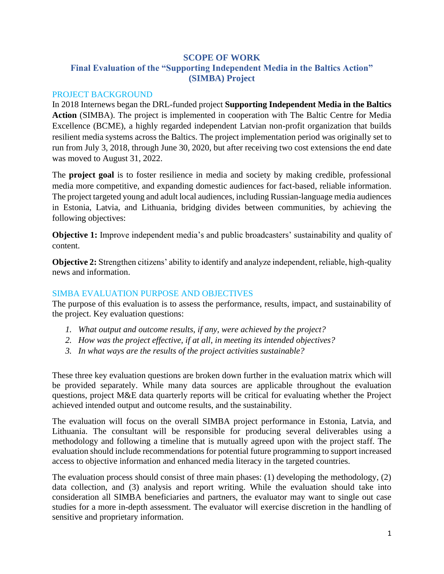## **SCOPE OF WORK Final Evaluation of the "Supporting Independent Media in the Baltics Action" (SIMBA) Project**

#### PROJECT BACKGROUND

In 2018 Internews began the DRL-funded project **Supporting Independent Media in the Baltics Action** (SIMBA). The project is implemented in cooperation with The Baltic Centre for Media Excellence (BCME), a highly regarded independent Latvian non-profit organization that builds resilient media systems across the Baltics. The project implementation period was originally set to run from July 3, 2018, through June 30, 2020, but after receiving two cost extensions the end date was moved to August 31, 2022.

The **project goal** is to foster resilience in media and society by making credible, professional media more competitive, and expanding domestic audiences for fact-based, reliable information. The project targeted young and adult local audiences, including Russian-language media audiences in Estonia, Latvia, and Lithuania, bridging divides between communities, by achieving the following objectives:

**Objective 1:** Improve independent media's and public broadcasters' sustainability and quality of content.

**Objective 2:** Strengthen citizens' ability to identify and analyze independent, reliable, high-quality news and information.

#### SIMBA EVALUATION PURPOSE AND OBJECTIVES

The purpose of this evaluation is to assess the performance, results, impact, and sustainability of the project. Key evaluation questions:

- *1. What output and outcome results, if any, were achieved by the project?*
- *2. How was the project effective, if at all, in meeting its intended objectives?*
- *3. In what ways are the results of the project activities sustainable?*

These three key evaluation questions are broken down further in the evaluation matrix which will be provided separately. While many data sources are applicable throughout the evaluation questions, project M&E data quarterly reports will be critical for evaluating whether the Project achieved intended output and outcome results, and the sustainability.

The evaluation will focus on the overall SIMBA project performance in Estonia, Latvia, and Lithuania. The consultant will be responsible for producing several deliverables using a methodology and following a timeline that is mutually agreed upon with the project staff. The evaluation should include recommendations for potential future programming to support increased access to objective information and enhanced media literacy in the targeted countries.

The evaluation process should consist of three main phases: (1) developing the methodology, (2) data collection, and (3) analysis and report writing. While the evaluation should take into consideration all SIMBA beneficiaries and partners, the evaluator may want to single out case studies for a more in-depth assessment. The evaluator will exercise discretion in the handling of sensitive and proprietary information.